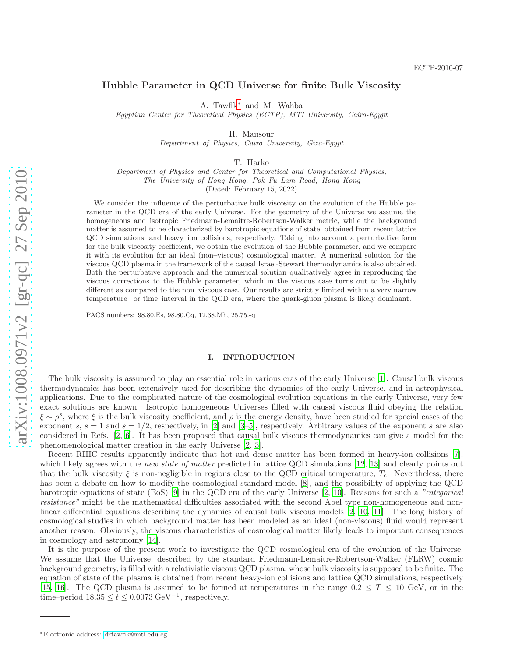# Hubble Parameter in QCD Universe for finite Bulk Viscosity

A. Tawfik [∗](#page-0-0) and M. Wahba

Egyptian Center for Theoretical Physics (ECTP), MTI University, Cairo-Egypt

H. Mansour

Department of Physics, Cairo University, Giza-Egypt

T. Harko

Department of Physics and Center for Theoretical and Computational Physics, The University of Hong Kong, Pok Fu Lam Road, Hong Kong

(Dated: February 15, 2022)

We consider the influence of the perturbative bulk viscosity on the evolution of the Hubble parameter in the QCD era of the early Universe. For the geometry of the Universe we assume the homogeneous and isotropic Friedmann-Lemaitre-Robertson-Walker metric, while the background matter is assumed to be characterized by barotropic equations of state, obtained from recent lattice QCD simulations, and heavy–ion collisions, respectively. Taking into account a perturbative form for the bulk viscosity coefficient, we obtain the evolution of the Hubble parameter, and we compare it with its evolution for an ideal (non–viscous) cosmological matter. A numerical solution for the viscous QCD plasma in the framework of the causal Israel-Stewart thermodynamics is also obtained. Both the perturbative approach and the numerical solution qualitatively agree in reproducing the viscous corrections to the Hubble parameter, which in the viscous case turns out to be slightly different as compared to the non–viscous case. Our results are strictly limited within a very narrow temperature– or time–interval in the QCD era, where the quark-gluon plasma is likely dominant.

PACS numbers: 98.80.Es, 98.80.Cq, 12.38.Mh, 25.75.-q

#### I. INTRODUCTION

The bulk viscosity is assumed to play an essential role in various eras of the early Universe [\[1\]](#page-9-0). Causal bulk viscous thermodynamics has been extensively used for describing the dynamics of the early Universe, and in astrophysical applications. Due to the complicated nature of the cosmological evolution equations in the early Universe, very few exact solutions are known. Isotropic homogeneous Universes filled with causal viscous fluid obeying the relation  $\xi \sim \rho^s$ , where  $\xi$  is the bulk viscosity coefficient, and  $\rho$  is the energy density, have been studied for special cases of the exponent s,  $s = 1$  and  $s = 1/2$ , respectively, in [\[2\]](#page-9-1) and [\[3](#page-9-2)-5], respectively. Arbitrary values of the exponent s are also considered in Refs. [\[2,](#page-9-1) [6](#page-9-4)]. It has been proposed that causal bulk viscous thermodynamics can give a model for the phenomenological matter creation in the early Universe [\[2](#page-9-1), [3](#page-9-2)].

Recent RHIC results apparently indicate that hot and dense matter has been formed in heavy-ion collisions [\[7\]](#page-9-5), which likely agrees with the new state of matter predicted in lattice QCD simulations [\[12,](#page-9-6) [13\]](#page-9-7) and clearly points out that the bulk viscosity  $\xi$  is non-negligible in regions close to the QCD critical temperature,  $T_c$ . Nevertheless, there has been a debate on how to modify the cosmological standard model [\[8\]](#page-9-8), and the possibility of applying the QCD barotropic equations of state (EoS) [\[9](#page-9-9)] in the QCD era of the early Universe [\[2,](#page-9-1) [10\]](#page-9-10). Reasons for such a "categorical resistance" might be the mathematical difficulties associated with the second Abel type non-homogeneous and nonlinear differential equations describing the dynamics of causal bulk viscous models [\[2](#page-9-1), [10](#page-9-10), [11\]](#page-9-11). The long history of cosmological studies in which background matter has been modeled as an ideal (non-viscous) fluid would represent another reason. Obviously, the viscous characteristics of cosmological matter likely leads to important consequences in cosmology and astronomy [\[14\]](#page-9-12).

It is the purpose of the present work to investigate the QCD cosmological era of the evolution of the Universe. We assume that the Universe, described by the standard Friedmann-Lemaitre-Robertson-Walker (FLRW) cosmic background geometry, is filled with a relativistic viscous QCD plasma, whose bulk viscosity is supposed to be finite. The equation of state of the plasma is obtained from recent heavy-ion collisions and lattice QCD simulations, respectively [\[15,](#page-9-13) [16](#page-9-14)]. The QCD plasma is assumed to be formed at temperatures in the range  $0.2 \leq T \leq 10$  GeV, or in the time–period  $18.35 \le t \le 0.0073$  GeV<sup>-1</sup>, respectively.

<span id="page-0-0"></span><sup>∗</sup>Electronic address: [drtawfik@mti.edu.eg](mailto:drtawfik@mti.edu.eg)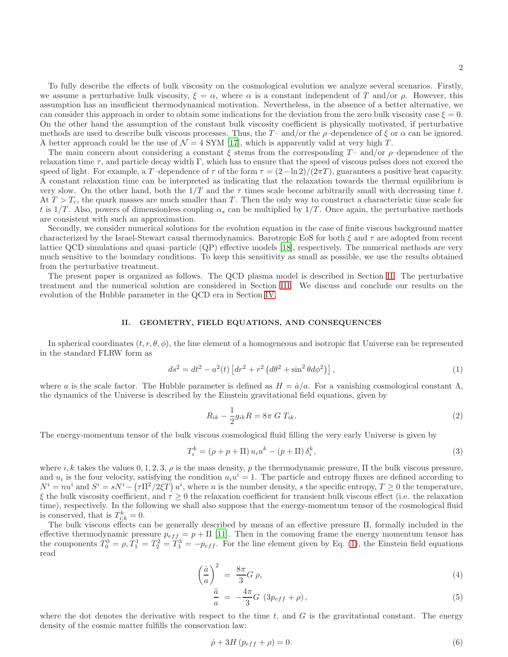To fully describe the effects of bulk viscosity on the cosmological evolution we analyze several scenarios. Firstly, we assume a perturbative bulk viscosity,  $\xi = \alpha$ , where  $\alpha$  is a constant independent of T and/or  $\rho$ . However, this assumption has an insufficient thermodynamical motivation. Nevertheless, in the absence of a better alternative, we can consider this approach in order to obtain some indications for the deviation from the zero bulk viscosity case  $\xi = 0$ . On the other hand the assumption of the constant bulk viscosity coefficient is physically motivated, if perturbative methods are used to describe bulk viscous processes. Thus, the T- and/or the  $\rho$ -dependence of  $\xi$  or  $\alpha$  can be ignored. A better approach could be the use of  $\mathcal{N} = 4$  SYM [\[17\]](#page-9-15), which is apparently valid at very high T.

The main concern about considering a constant  $\xi$  stems from the corresponding T- and/or  $\rho$ -dependence of the relaxation time  $\tau$ , and particle decay width Γ, which has to ensure that the speed of viscous pulses does not exceed the speed of light. For example, a T-dependence of  $\tau$  of the form  $\tau = (2 - \ln 2)/(2\pi T)$ , guarantees a positive heat capacity. A constant relaxation time can be interpreted as indicating that the relaxation towards the thermal equilibrium is very slow. On the other hand, both the  $1/T$  and the  $\tau$  times scale become arbitrarily small with decreasing time t. At  $T > T_c$ , the quark masses are much smaller than T. Then the only way to construct a characteristic time scale for t is  $1/T$ . Also, powers of dimensionless coupling  $\alpha_s$  can be multiplied by  $1/T$ . Once again, the perturbative methods are consistent with such an approximation.

Secondly, we consider numerical solutions for the evolution equation in the case of finite viscous background matter characterized by the Israel-Stewart causal thermodynamics. Barotropic EoS for both  $\xi$  and  $\tau$  are adopted from recent lattice QCD simulations and quasi–particle (QP) effective models [\[18](#page-9-16)], respectively. The numerical methods are very much sensitive to the boundary conditions. To keep this sensitivity as small as possible, we use the results obtained from the perturbative treatment.

The present paper is organized as follows. The QCD plasma model is described in Section [II.](#page-1-0) The perturbative treatment and the numerical solution are considered in Section [III.](#page-2-0) We discuss and conclude our results on the evolution of the Hubble parameter in the QCD era in Section [IV.](#page-7-0)

## <span id="page-1-0"></span>II. GEOMETRY, FIELD EQUATIONS, AND CONSEQUENCES

In spherical coordinates  $(t, r, \theta, \phi)$ , the line element of a homogeneous and isotropic flat Universe can be represented in the standard FLRW form as

<span id="page-1-1"></span>
$$
ds^{2} = dt^{2} - a^{2}(t) \left[ dr^{2} + r^{2} \left( d\theta^{2} + \sin^{2} \theta d\phi^{2} \right) \right],
$$
\n(1)

where a is the scale factor. The Hubble parameter is defined as  $H = \dot{a}/a$ . For a vanishing cosmological constant  $\Lambda$ , the dynamics of the Universe is described by the Einstein gravitational field equations, given by

$$
R_{ik} - \frac{1}{2}g_{ik}R = 8\pi G T_{ik}.
$$
 (2)

The energy-momentum tensor of the bulk viscous cosmological fluid filling the very early Universe is given by

$$
T_i^k = (\rho + p + \Pi) u_i u^k - (p + \Pi) \delta_i^k,
$$
\n(3)

where i, k takes the values  $0, 1, 2, 3, \rho$  is the mass density, p the thermodynamic pressure,  $\Pi$  the bulk viscous pressure, and  $u_i$  is the four velocity, satisfying the condition  $u_i u^i = 1$ . The particle and entropy fluxes are defined according to  $N^i = nu^i$  and  $S^i = sN^i - (\tau \Pi^2/2\xi T) u^i$ , where n is the number density, s the specific entropy,  $T \ge 0$  the temperature,  $\xi$  the bulk viscosity coefficient, and  $\tau \geq 0$  the relaxation coefficient for transient bulk viscous effect (i.e. the relaxation time), respectively. In the following we shall also suppose that the energy-momentum tensor of the cosmological fluid is conserved, that is  $T_{i,k}^k = 0$ .

The bulk viscous effects can be generally described by means of an effective pressure Π, formally included in the effective thermodynamic pressure  $p_{eff} = p + \Pi$  [\[11](#page-9-11)]. Then in the comoving frame the energy momentum tensor has the components  $T_0^0 = \rho, T_1^1 = T_2^2 = T_3^3 = -p_{eff}$ . For the line element given by Eq. [\(1\)](#page-1-1), the Einstein field equations read

<span id="page-1-3"></span>
$$
\left(\frac{\dot{a}}{a}\right)^2 = \frac{8\pi}{3}G \rho,\tag{4}
$$

$$
\frac{\ddot{a}}{a} = -\frac{4\pi}{3}G \left(3p_{eff} + \rho\right),\tag{5}
$$

where the dot denotes the derivative with respect to the time  $t$ , and  $G$  is the gravitational constant. The energy density of the cosmic matter fulfills the conservation law:

<span id="page-1-2"></span>
$$
\dot{\rho} + 3H \left( p_{eff} + \rho \right) = 0. \tag{6}
$$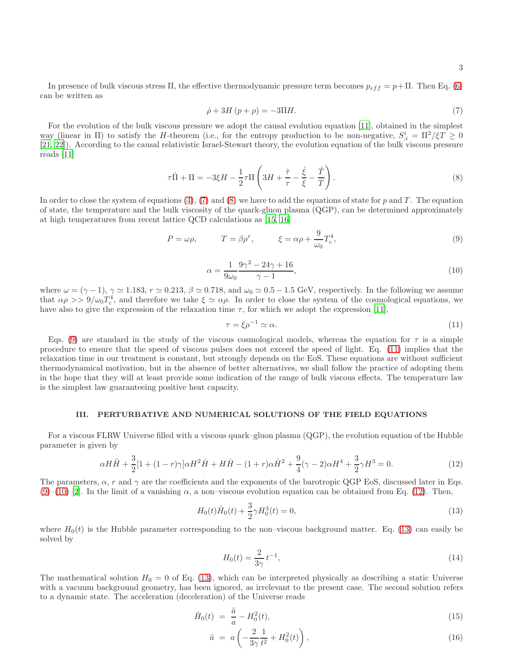In presence of bulk viscous stress Π, the effective thermodynamic pressure term becomes  $p_{eff} = p + \Pi$ . Then Eq. [\(6\)](#page-1-2) can be written as

<span id="page-2-1"></span>
$$
\dot{\rho} + 3H\left(p + \rho\right) = -3\Pi H.\tag{7}
$$

For the evolution of the bulk viscous pressure we adopt the causal evolution equation [\[11\]](#page-9-11), obtained in the simplest way (linear in  $\Pi$ ) to satisfy the H-theorem (i.e., for the entropy production to be non-negative,  $S_{i}^{i} = \Pi^{2}/\xi T \geq 0$ [\[21,](#page-9-17) [22\]](#page-9-18)). According to the causal relativistic Israel-Stewart theory, the evolution equation of the bulk viscous pressure reads [\[11\]](#page-9-11)

<span id="page-2-2"></span>
$$
\tau \dot{\Pi} + \Pi = -3\xi H - \frac{1}{2}\tau \Pi \left(3H + \frac{\dot{\tau}}{\tau} - \frac{\dot{\xi}}{\xi} - \frac{\dot{T}}{T}\right). \tag{8}
$$

In order to close the system of equations  $(4)$ ,  $(7)$  and  $(8)$  we have to add the equations of state for p and T. The equation of state, the temperature and the bulk viscosity of the quark-gluon plasma (QGP), can be determined approximately at high temperatures from recent lattice QCD calculations as [\[15,](#page-9-13) [16\]](#page-9-14)

<span id="page-2-3"></span>
$$
P = \omega \rho, \qquad T = \beta \rho^r, \qquad \xi = \alpha \rho + \frac{9}{\omega_0} T_c^4, \qquad (9)
$$

<span id="page-2-5"></span>
$$
\alpha = \frac{1}{9\omega_0} \frac{9\gamma^2 - 24\gamma + 16}{\gamma - 1},\tag{10}
$$

where  $\omega = (\gamma - 1)$ ,  $\gamma \simeq 1.183$ ,  $r \simeq 0.213$ ,  $\beta \simeq 0.718$ , and  $\omega_0 \simeq 0.5 - 1.5$  GeV, respectively. In the following we assume that  $\alpha \rho >> 9/\omega_0 T_c^4$ , and therefore we take  $\xi \simeq \alpha \rho$ . In order to close the system of the cosmological equations, we have also to give the expression of the relaxation time  $\tau$ , for which we adopt the expression [\[11\]](#page-9-11),

<span id="page-2-4"></span>
$$
\tau = \xi \rho^{-1} \simeq \alpha. \tag{11}
$$

Eqs. [\(9\)](#page-2-3) are standard in the study of the viscous cosmological models, whereas the equation for  $\tau$  is a simple procedure to ensure that the speed of viscous pulses does not exceed the speed of light. Eq. [\(11\)](#page-2-4) implies that the relaxation time in our treatment is constant, but strongly depends on the EoS. These equations are without sufficient thermodynamical motivation, but in the absence of better alternatives, we shall follow the practice of adopting them in the hope that they will at least provide some indication of the range of bulk viscous effects. The temperature law is the simplest law guaranteeing positive heat capacity.

### <span id="page-2-0"></span>III. PERTURBATIVE AND NUMERICAL SOLUTIONS OF THE FIELD EQUATIONS

For a viscous FLRW Universe filled with a viscous quark–gluon plasma (QGP), the evolution equation of the Hubble parameter is given by

<span id="page-2-6"></span>
$$
\alpha H\ddot{H} + \frac{3}{2}[1 + (1 - r)\gamma]\alpha H^2 \dot{H} + H\dot{H} - (1 + r)\alpha \dot{H}^2 + \frac{9}{4}(\gamma - 2)\alpha H^4 + \frac{3}{2}\gamma H^3 = 0.
$$
\n(12)

The parameters,  $\alpha$ , r and  $\gamma$  are the coefficients and the exponents of the barotropic QGP EoS, discussed later in Eqs. [\(9\)](#page-2-3)–[\(10\)](#page-2-5) [\[2\]](#page-9-1). In the limit of a vanishing  $\alpha$ , a non–viscous evolution equation can be obtained from Eq. [\(12\)](#page-2-6). Then,

<span id="page-2-7"></span>
$$
H_0(t)\dot{H}_0(t) + \frac{3}{2}\gamma H_0^3(t) = 0,
$$
\n(13)

where  $H_0(t)$  is the Hubble parameter corresponding to the non–viscous background matter. Eq. [\(13\)](#page-2-7) can easily be solved by

<span id="page-2-8"></span>
$$
H_0(t) = \frac{2}{3\gamma} t^{-1},\tag{14}
$$

The mathematical solution  $H_0 = 0$  of Eq. [\(13\)](#page-2-7), which can be interpreted physically as describing a static Universe with a vacuum background geometry, has been ignored, as irrelevant to the present case. The second solution refers to a dynamic state. The acceleration (deceleration) of the Universe reads

<span id="page-2-9"></span>
$$
\dot{H}_0(t) = \frac{\ddot{a}}{a} - H_0^2(t),\tag{15}
$$

$$
\ddot{a} = a \left( -\frac{2}{3\gamma} \frac{1}{t^2} + H_0^2(t) \right), \tag{16}
$$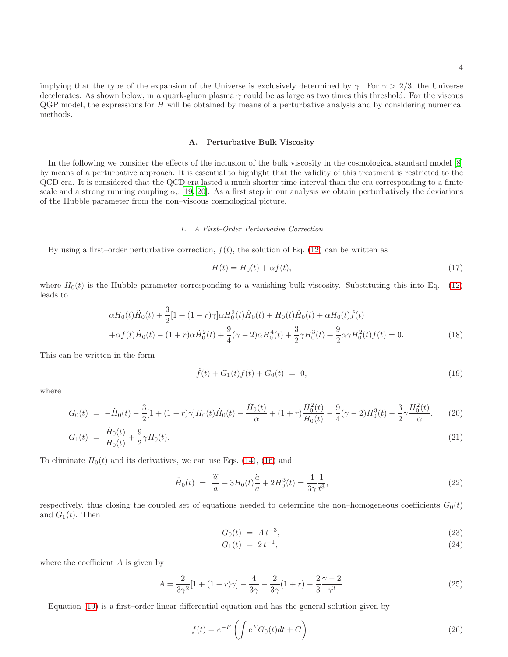implying that the type of the expansion of the Universe is exclusively determined by  $\gamma$ . For  $\gamma > 2/3$ , the Universe decelerates. As shown below, in a quark-gluon plasma  $\gamma$  could be as large as two times this threshold. For the viscous  $QGP$  model, the expressions for  $H$  will be obtained by means of a perturbative analysis and by considering numerical methods.

#### A. Perturbative Bulk Viscosity

In the following we consider the effects of the inclusion of the bulk viscosity in the cosmological standard model [\[8\]](#page-9-8) by means of a perturbative approach. It is essential to highlight that the validity of this treatment is restricted to the QCD era. It is considered that the QCD era lasted a much shorter time interval than the era corresponding to a finite scale and a strong running coupling  $\alpha_s$  [\[19,](#page-9-19) [20\]](#page-9-20). As a first step in our analysis we obtain perturbatively the deviations of the Hubble parameter from the non–viscous cosmological picture.

### 1. A First–Order Perturbative Correction

By using a first–order perturbative correction,  $f(t)$ , the solution of Eq. [\(12\)](#page-2-6) can be written as

$$
H(t) = H_0(t) + \alpha f(t),\tag{17}
$$

where  $H_0(t)$  is the Hubble parameter corresponding to a vanishing bulk viscosity. Substituting this into Eq. [\(12\)](#page-2-6) leads to

$$
\alpha H_0(t)\ddot{H}_0(t) + \frac{3}{2}[1 + (1 - r)\gamma]\alpha H_0^2(t)\dot{H}_0(t) + H_0(t)\dot{H}_0(t) + \alpha H_0(t)\dot{f}(t) \n+ \alpha f(t)\dot{H}_0(t) - (1 + r)\alpha \dot{H}_0^2(t) + \frac{9}{4}(\gamma - 2)\alpha H_0^4(t) + \frac{3}{2}\gamma H_0^3(t) + \frac{9}{2}\alpha\gamma H_0^2(t)f(t) = 0.
$$
\n(18)

This can be written in the form

<span id="page-3-0"></span>
$$
\dot{f}(t) + G_1(t)f(t) + G_0(t) = 0,\t\t(19)
$$

where

$$
G_0(t) = -\ddot{H}_0(t) - \frac{3}{2}[1 + (1 - r)\gamma]H_0(t)\dot{H}_0(t) - \frac{\dot{H}_0(t)}{\alpha} + (1 + r)\frac{\dot{H}_0^2(t)}{H_0(t)} - \frac{9}{4}(\gamma - 2)H_0^3(t) - \frac{3}{2}\gamma\frac{H_0^2(t)}{\alpha},\tag{20}
$$

$$
G_1(t) = \frac{\dot{H}_0(t)}{H_0(t)} + \frac{9}{2}\gamma H_0(t). \tag{21}
$$

To eliminate  $H_0(t)$  and its derivatives, we can use Eqs. [\(14\)](#page-2-8), [\(16\)](#page-2-9) and

$$
\ddot{H}_0(t) = \frac{\dddot{a}}{a} - 3H_0(t)\frac{\ddot{a}}{a} + 2H_0^3(t) = \frac{4}{3\gamma} \frac{1}{t^3},\tag{22}
$$

respectively, thus closing the coupled set of equations needed to determine the non–homogeneous coefficients  $G_0(t)$ and  $G_1(t)$ . Then

<span id="page-3-1"></span>
$$
G_0(t) = At^{-3}, \t\t(23)
$$

$$
G_1(t) = 2t^{-1}, \t\t(24)
$$

where the coefficient  $A$  is given by

$$
A = \frac{2}{3\gamma^2} [1 + (1 - r)\gamma] - \frac{4}{3\gamma} - \frac{2}{3\gamma} (1 + r) - \frac{2}{3} \frac{\gamma - 2}{\gamma^3}.
$$
 (25)

Equation [\(19\)](#page-3-0) is a first–order linear differential equation and has the general solution given by

<span id="page-3-2"></span>
$$
f(t) = e^{-F} \left( \int e^F G_0(t) dt + C \right), \qquad (26)
$$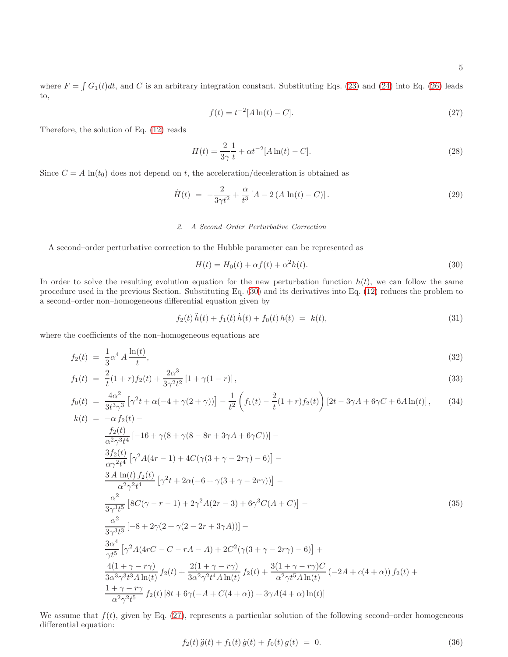where  $F = \int G_1(t)dt$ , and C is an arbitrary integration constant. Substituting Eqs. [\(23\)](#page-3-1) and [\(24\)](#page-3-1) into Eq. [\(26\)](#page-3-2) leads to,

<span id="page-4-1"></span>
$$
f(t) = t^{-2} [A \ln(t) - C].
$$
 (27)

Therefore, the solution of Eq. [\(12\)](#page-2-6) reads

$$
H(t) = \frac{2}{3\gamma} \frac{1}{t} + \alpha t^{-2} [A \ln(t) - C].
$$
\n(28)

Since  $C = A \ln(t_0)$  does not depend on t, the acceleration/deceleration is obtained as

$$
\dot{H}(t) = -\frac{2}{3\gamma t^2} + \frac{\alpha}{t^3} \left[ A - 2 \left( A \ln(t) - C \right) \right]. \tag{29}
$$

## 2. A Second–Order Perturbative Correction

A second–order perturbative correction to the Hubble parameter can be represented as

<span id="page-4-0"></span>
$$
H(t) = H_0(t) + \alpha f(t) + \alpha^2 h(t).
$$
\n(30)

In order to solve the resulting evolution equation for the new perturbation function  $h(t)$ , we can follow the same procedure used in the previous Section. Substituting Eq. [\(30\)](#page-4-0) and its derivatives into Eq. [\(12\)](#page-2-6) reduces the problem to a second–order non–homogeneous differential equation given by

<span id="page-4-3"></span>
$$
f_2(t)\ddot{h}(t) + f_1(t)\dot{h}(t) + f_0(t)h(t) = k(t),
$$
\n(31)

where the coefficients of the non–homogeneous equations are

$$
f_2(t) = \frac{1}{3} \alpha^4 A \frac{\ln(t)}{t},\tag{32}
$$

$$
f_1(t) = \frac{2}{t}(1+r)f_2(t) + \frac{2\alpha^3}{3\gamma^2 t^2} [1 + \gamma(1-r)],
$$
\n(33)

$$
f_0(t) = \frac{4\alpha^2}{3t^3\gamma^3} \left[ \gamma^2 t + \alpha(-4 + \gamma(2+\gamma)) \right] - \frac{1}{t^2} \left( f_1(t) - \frac{2}{t} (1+r) f_2(t) \right) \left[ 2t - 3\gamma A + 6\gamma C + 6A \ln(t) \right],\tag{34}
$$
  
\n
$$
k(t) = -\alpha f_2(t) - \frac{2\alpha^2}{t^2} \left[ 2t - 3\gamma A + 6\gamma C + 6A \ln(t) \right],
$$

$$
\frac{f_2(t)}{\alpha^2 \gamma^3 t^4} [-16 + \gamma (8 + \gamma (8 - 8r + 3\gamma A + 6\gamma C))] -
$$
\n
$$
\frac{3f_2(t)}{\alpha \gamma^2 t^4} [\gamma^2 A(4r - 1) + 4C(\gamma (3 + \gamma - 2r\gamma) - 6)] -
$$
\n
$$
\frac{3A \ln(t) f_2(t)}{\alpha^2 \gamma^2 t^4} [\gamma^2 t + 2\alpha (-6 + \gamma (3 + \gamma - 2r\gamma))] -
$$
\n
$$
\frac{\alpha^2}{3\gamma^3 t^5} [8C(\gamma - r - 1) + 2\gamma^2 A(2r - 3) + 6\gamma^3 C(A + C)] -
$$
\n
$$
\frac{\alpha^2}{3\gamma^3 t^3} [-8 + 2\gamma (2 + \gamma (2 - 2r + 3\gamma A))] -
$$
\n
$$
\frac{3\alpha^4}{\gamma t^5} [\gamma^2 A(4rC - C - rA - A) + 2C^2(\gamma (3 + \gamma - 2r\gamma) - 6)] +
$$
\n
$$
\frac{4(1 + \gamma - r\gamma)}{3\alpha^3 \gamma^3 t^3 A \ln(t)} f_2(t) + \frac{2(1 + \gamma - r\gamma)}{3\alpha^2 \gamma^2 t^4 A \ln(t)} f_2(t) + \frac{3(1 + \gamma - r\gamma)C}{\alpha^2 \gamma t^5 A \ln(t)} (-2A + c(4 + \alpha)) f_2(t) +
$$
\n
$$
\frac{1 + \gamma - r\gamma}{\alpha^2 \gamma^2 t^5} f_2(t) [8t + 6\gamma (-A + C(4 + \alpha)) + 3\gamma A(4 + \alpha) \ln(t)]
$$

We assume that  $f(t)$ , given by Eq. [\(27\)](#page-4-1), represents a particular solution of the following second–order homogeneous differential equation:

<span id="page-4-2"></span>
$$
f_2(t)\ddot{g}(t) + f_1(t)\dot{g}(t) + f_0(t)\dot{g}(t) = 0.
$$
\n(36)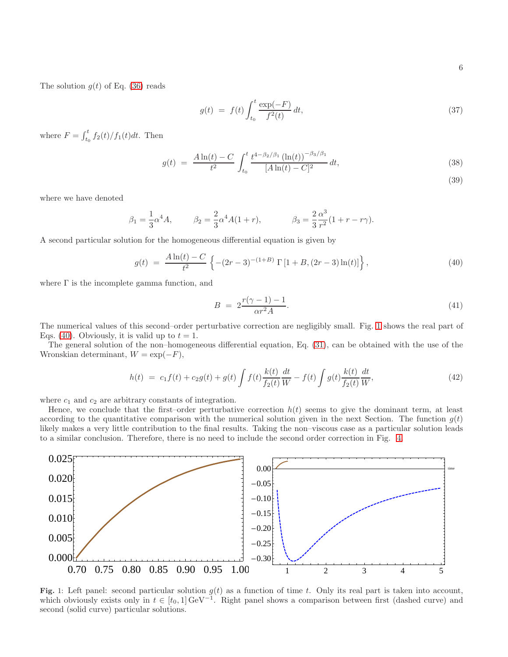The solution  $g(t)$  of Eq. [\(36\)](#page-4-2) reads

$$
g(t) = f(t) \int_{t_0}^{t} \frac{\exp(-F)}{f^2(t)} dt,
$$
\n(37)

where  $F = \int_{t_0}^{t} f_2(t)/f_1(t)dt$ . Then

$$
g(t) = \frac{A \ln(t) - C}{t^2} \int_{t_0}^t \frac{t^{4 - \beta_2/\beta_1} (\ln(t))^{-\beta_3/\beta_1}}{[A \ln(t) - C]^2} dt,
$$
\n(38)

(39)

where we have denoted

$$
\beta_1 = \frac{1}{3}\alpha^4 A,
$$
\n $\beta_2 = \frac{2}{3}\alpha^4 A(1+r),$ \n $\beta_3 = \frac{2}{3}\frac{\alpha^3}{r^2}(1+r-r\gamma).$ 

A second particular solution for the homogeneous differential equation is given by

<span id="page-5-1"></span>
$$
g(t) = \frac{A \ln(t) - C}{t^2} \left\{ -(2r - 3)^{-(1+B)} \Gamma[1 + B, (2r - 3) \ln(t)] \right\},\tag{40}
$$

where  $\Gamma$  is the incomplete gamma function, and

$$
B = 2\frac{r(\gamma - 1) - 1}{\alpha r^2 A}.\tag{41}
$$

The numerical values of this second–order perturbative correction are negligibly small. Fig. [1](#page-5-0) shows the real part of Eqs. [\(40\)](#page-5-1). Obviously, it is valid up to  $t = 1$ .

The general solution of the non–homogeneous differential equation, Eq. [\(31\)](#page-4-3), can be obtained with the use of the Wronskian determinant,  $W = \exp(-F)$ ,

$$
h(t) = c_1 f(t) + c_2 g(t) + g(t) \int f(t) \frac{k(t)}{f_2(t)} \frac{dt}{W} - f(t) \int g(t) \frac{k(t)}{f_2(t)} \frac{dt}{W},
$$
\n(42)

where  $c_1$  and  $c_2$  are arbitrary constants of integration.

Hence, we conclude that the first–order perturbative correction  $h(t)$  seems to give the dominant term, at least according to the quantitative comparison with the numerical solution given in the next Section. The function  $g(t)$ likely makes a very little contribution to the final results. Taking the non–viscous case as a particular solution leads to a similar conclusion. Therefore, there is no need to include the second order correction in Fig. [4.](#page-8-0)



<span id="page-5-0"></span>Fig. 1: Left panel: second particular solution  $g(t)$  as a function of time t. Only its real part is taken into account, which obviously exists only in  $t \in [t_0, 1] \text{ GeV}^{-1}$ . Right panel shows a comparison between first (dashed curve) and second (solid curve) particular solutions.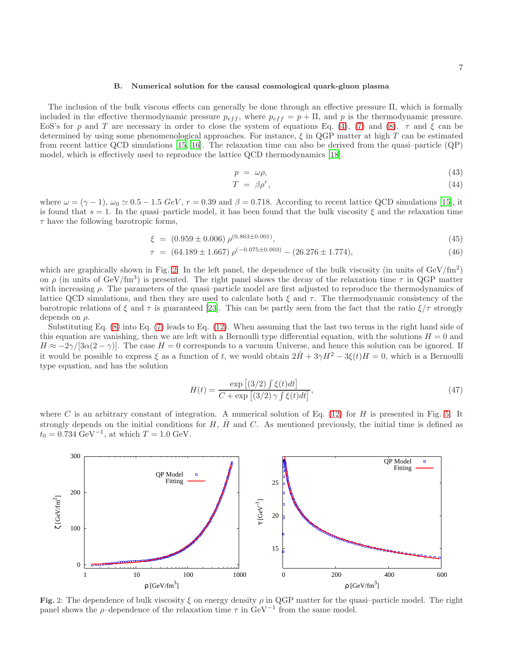#### B. Numerical solution for the causal cosmological quark-gluon plasma

The inclusion of the bulk viscous effects can generally be done through an effective pressure Π, which is formally included in the effective thermodynamic pressure  $p_{eff}$ , where  $p_{eff} = p + \Pi$ , and p is the thermodynamic pressure. EoS's for p and T are necessary in order to close the system of equations Eq. [\(4\)](#page-1-3), [\(7\)](#page-2-1) and [\(8\)](#page-2-2).  $\tau$  and  $\xi$  can be determined by using some phenomenological approaches. For instance,  $\xi$  in QGP matter at high T can be estimated from recent lattice QCD simulations [\[15,](#page-9-13) [16\]](#page-9-14). The relaxation time can also be derived from the quasi–particle (QP) model, which is effectively used to reproduce the lattice QCD thermodynamics [\[18](#page-9-16)].

$$
p = \omega \rho, \tag{43}
$$

$$
T = \beta \rho^r,\tag{44}
$$

where  $\omega = (\gamma - 1)$ ,  $\omega_0 \simeq 0.5 - 1.5$  GeV,  $r = 0.39$  and  $\beta = 0.718$ . According to recent lattice QCD simulations [\[15\]](#page-9-13), it is found that  $s = 1$ . In the quasi-particle model, it has been found that the bulk viscosity  $\xi$  and the relaxation time  $\tau$  have the following barotropic forms,

$$
\xi = (0.959 \pm 0.006) \rho^{(0.863 \pm 0.001)}, \tag{45}
$$

$$
\tau = (64.189 \pm 1.667) \rho^{(-0.075 \pm 0.003)} - (26.276 \pm 1.774), \tag{46}
$$

which are graphically shown in Fig. [2.](#page-6-0) In the left panel, the dependence of the bulk viscosity (in units of  $GeV/fm<sup>2</sup>$ ) on  $\rho$  (in units of GeV/fm<sup>3</sup>) is presented. The right panel shows the decay of the relaxation time  $\tau$  in QGP matter with increasing  $\rho$ . The parameters of the quasi-particle model are first adjusted to reproduce the thermodynamics of lattice QCD simulations, and then they are used to calculate both  $\xi$  and  $\tau$ . The thermodynamic consistency of the barotropic relations of  $\xi$  and  $\tau$  is guaranteed [\[23](#page-9-21)]. This can be partly seen from the fact that the ratio  $\xi/\tau$  strongly depends on  $\rho$ .

Substituting Eq. [\(8\)](#page-2-2) into Eq. [\(7\)](#page-2-1) leads to Eq. [\(12\)](#page-2-6). When assuming that the last two terms in the right hand side of this equation are vanishing, then we are left with a Bernoulli type differential equation, with the solutions  $H = 0$  and  $H \approx -2\gamma/[3\alpha(2-\gamma)]$ . The case  $H = 0$  corresponds to a vacuum Universe, and hence this solution can be ignored. If it would be possible to express  $\xi$  as a function of t, we would obtain  $2H + 3\gamma H^2 - 3\xi(t)H = 0$ , which is a Bernoulli type equation, and has the solution

$$
H(t) = \frac{\exp\left[\left(3/2\right)\int \xi(t)dt\right]}{C + \exp\left[\left(3/2\right)\gamma \int \xi(t)dt\right]},\tag{47}
$$

where C is an arbitrary constant of integration. A numerical solution of Eq. [\(12\)](#page-2-6) for H is presented in Fig. [5.](#page-8-1) It strongly depends on the initial conditions for  $H$ ,  $\dot{H}$  and  $C$ . As mentioned previously, the initial time is defined as  $t_0 = 0.734 \text{ GeV}^{-1}$ , at which  $T = 1.0 \text{ GeV}$ .



<span id="page-6-0"></span>Fig. 2: The dependence of bulk viscosity  $\xi$  on energy density  $\rho$  in QGP matter for the quasi-particle model. The right panel shows the  $\rho$ -dependence of the relaxation time  $\tau$  in  $\text{GeV}^{-1}$  from the same model.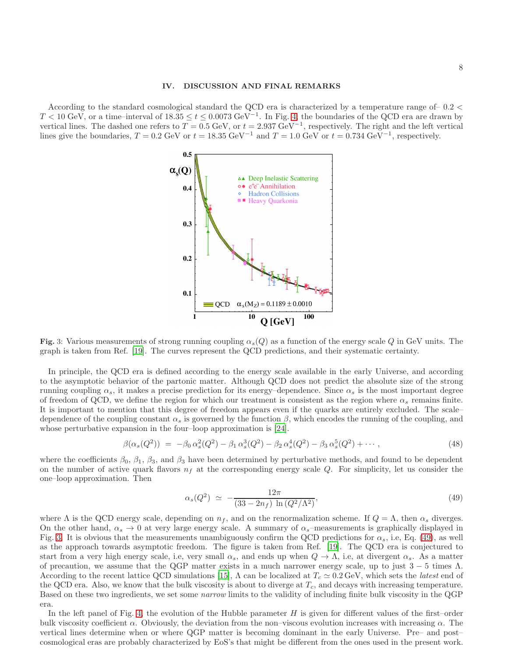### <span id="page-7-0"></span>IV. DISCUSSION AND FINAL REMARKS

According to the standard cosmological standard the QCD era is characterized by a temperature range of– 0.2 <  $T < 10 \text{ GeV}$ , or a time–interval of  $18.35 \le t \le 0.0073 \text{ GeV}^{-1}$ . In Fig. [4,](#page-8-0) the boundaries of the QCD era are drawn by vertical lines. The dashed one refers to  $T = 0.5$  GeV, or  $t = 2.937$  GeV<sup>-1</sup>, respectively. The right and the left vertical lines give the boundaries,  $T = 0.2$  GeV or  $t = 18.35$  GeV<sup>-1</sup> and  $T = 1.0$  GeV or  $t = 0.734$  GeV<sup>-1</sup>, respectively.



<span id="page-7-1"></span>Fig. 3: Various measurements of strong running coupling  $\alpha_s(Q)$  as a function of the energy scale Q in GeV units. The graph is taken from Ref. [\[19\]](#page-9-19). The curves represent the QCD predictions, and their systematic certainty.

In principle, the QCD era is defined according to the energy scale available in the early Universe, and according to the asymptotic behavior of the partonic matter. Although QCD does not predict the absolute size of the strong running coupling  $\alpha_s$ , it makes a precise prediction for its energy–dependence. Since  $\alpha_s$  is the most important degree of freedom of QCD, we define the region for which our treatment is consistent as the region where  $\alpha_s$  remains finite. It is important to mention that this degree of freedom appears even if the quarks are entirely excluded. The scale– dependence of the coupling constant  $\alpha_s$  is governed by the function  $\beta$ , which encodes the running of the coupling, and whose perturbative expansion in the four–loop approximation is [\[24](#page-9-22)].

$$
\beta(\alpha_s(Q^2)) = -\beta_0 \alpha_s^2(Q^2) - \beta_1 \alpha_s^3(Q^2) - \beta_2 \alpha_s^4(Q^2) - \beta_3 \alpha_s^5(Q^2) + \cdots, \tag{48}
$$

where the coefficients  $\beta_0$ ,  $\beta_1$ ,  $\beta_3$ , and  $\beta_3$  have been determined by perturbative methods, and found to be dependent on the number of active quark flavors  $n_f$  at the corresponding energy scale Q. For simplicity, let us consider the one–loop approximation. Then

<span id="page-7-2"></span>
$$
\alpha_s(Q^2) \simeq -\frac{12\pi}{(33 - 2n_f) \ln(Q^2/\Lambda^2)},\tag{49}
$$

where  $\Lambda$  is the QCD energy scale, depending on  $n_f$ , and on the renormalization scheme. If  $Q = \Lambda$ , then  $\alpha_s$  diverges. On the other hand,  $\alpha_s \to 0$  at very large energy scale. A summary of  $\alpha_s$ –measurements is graphically displayed in Fig. [3.](#page-7-1) It is obvious that the measurements unambiguously confirm the QCD predictions for  $\alpha_s$ , i.e, Eq. [\(49\)](#page-7-2), as well as the approach towards asymptotic freedom. The figure is taken from Ref. [\[19\]](#page-9-19). The QCD era is conjectured to start from a very high energy scale, i.e, very small  $\alpha_s$ , and ends up when  $Q \to \Lambda$ , i.e, at divergent  $\alpha_s$ . As a matter of precaution, we assume that the QGP matter exists in a much narrower energy scale, up to just  $3 - 5$  times  $\Lambda$ . According to the recent lattice QCD simulations [\[15\]](#page-9-13),  $\Lambda$  can be localized at  $T_c \simeq 0.2 \,\text{GeV}$ , which sets the *latest* end of the QCD era. Also, we know that the bulk viscosity is about to diverge at  $T_c$ , and decays with increasing temperature. Based on these two ingredients, we set some narrow limits to the validity of including finite bulk viscosity in the QGP era.

In the left panel of Fig. [4,](#page-8-0) the evolution of the Hubble parameter  $H$  is given for different values of the first–order bulk viscosity coefficient  $\alpha$ . Obviously, the deviation from the non–viscous evolution increases with increasing  $\alpha$ . The vertical lines determine when or where QGP matter is becoming dominant in the early Universe. Pre– and post– cosmological eras are probably characterized by EoS's that might be different from the ones used in the present work.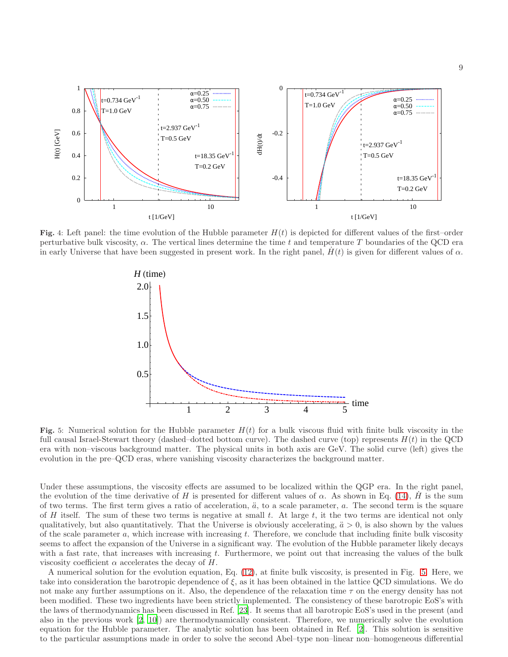

<span id="page-8-0"></span>Fig. 4: Left panel: the time evolution of the Hubble parameter  $H(t)$  is depicted for different values of the first–order perturbative bulk viscosity,  $\alpha$ . The vertical lines determine the time t and temperature T boundaries of the QCD era in early Universe that have been suggested in present work. In the right panel,  $H(t)$  is given for different values of  $\alpha$ .



<span id="page-8-1"></span>Fig. 5: Numerical solution for the Hubble parameter  $H(t)$  for a bulk viscous fluid with finite bulk viscosity in the full causal Israel-Stewart theory (dashed–dotted bottom curve). The dashed curve (top) represents  $H(t)$  in the QCD era with non–viscous background matter. The physical units in both axis are GeV. The solid curve (left) gives the evolution in the pre–QCD eras, where vanishing viscosity characterizes the background matter.

Under these assumptions, the viscosity effects are assumed to be localized within the QGP era. In the right panel, the evolution of the time derivative of H is presented for different values of  $\alpha$ . As shown in Eq. [\(14\)](#page-2-8),  $\dot{H}$  is the sum of two terms. The first term gives a ratio of acceleration,  $\ddot{a}$ , to a scale parameter,  $a$ . The second term is the square of H itself. The sum of these two terms is negative at small  $t$ . At large  $t$ , it the two terms are identical not only qualitatively, but also quantitatively. That the Universe is obviously accelerating,  $\ddot{a} > 0$ , is also shown by the values of the scale parameter a, which increase with increasing t. Therefore, we conclude that including finite bulk viscosity seems to affect the expansion of the Universe in a significant way. The evolution of the Hubble parameter likely decays with a fast rate, that increases with increasing  $t$ . Furthermore, we point out that increasing the values of the bulk viscosity coefficient  $\alpha$  accelerates the decay of H.

A numerical solution for the evolution equation, Eq. [\(12\)](#page-2-6), at finite bulk viscosity, is presented in Fig. [5.](#page-8-1) Here, we take into consideration the barotropic dependence of  $\xi$ , as it has been obtained in the lattice QCD simulations. We do not make any further assumptions on it. Also, the dependence of the relaxation time  $\tau$  on the energy density has not been modified. These two ingredients have been strictly implemented. The consistency of these barotropic EoS's with the laws of thermodynamics has been discussed in Ref. [\[23](#page-9-21)]. It seems that all barotropic EoS's used in the present (and also in the previous work [\[2](#page-9-1), [10\]](#page-9-10)) are thermodynamically consistent. Therefore, we numerically solve the evolution equation for the Hubble parameter. The analytic solution has been obtained in Ref. [\[2\]](#page-9-1). This solution is sensitive to the particular assumptions made in order to solve the second Abel–type non–linear non–homogeneous differential